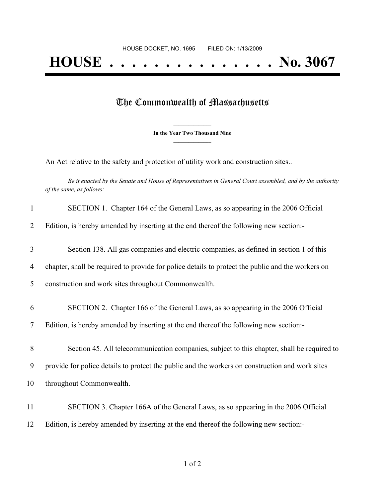## The Commonwealth of Massachusetts

**\_\_\_\_\_\_\_\_\_\_\_\_\_\_\_ In the Year Two Thousand Nine \_\_\_\_\_\_\_\_\_\_\_\_\_\_\_**

An Act relative to the safety and protection of utility work and construction sites..

Be it enacted by the Senate and House of Representatives in General Court assembled, and by the authority *of the same, as follows:*

| $\mathbf{1}$   | SECTION 1. Chapter 164 of the General Laws, as so appearing in the 2006 Official                  |
|----------------|---------------------------------------------------------------------------------------------------|
| $\overline{2}$ | Edition, is hereby amended by inserting at the end thereof the following new section:-            |
| 3              | Section 138. All gas companies and electric companies, as defined in section 1 of this            |
| 4              | chapter, shall be required to provide for police details to protect the public and the workers on |
| 5              | construction and work sites throughout Commonwealth.                                              |
| 6              | SECTION 2. Chapter 166 of the General Laws, as so appearing in the 2006 Official                  |
| 7              | Edition, is hereby amended by inserting at the end thereof the following new section:-            |
| 8              | Section 45. All telecommunication companies, subject to this chapter, shall be required to        |
| 9              | provide for police details to protect the public and the workers on construction and work sites   |
| 10             | throughout Commonwealth.                                                                          |
| 11             | SECTION 3. Chapter 166A of the General Laws, as so appearing in the 2006 Official                 |
| 12             | Edition, is hereby amended by inserting at the end thereof the following new section:-            |